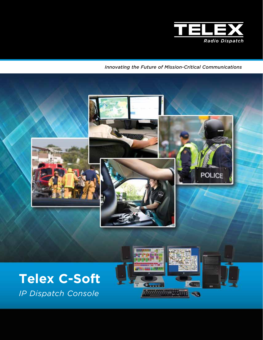

*Innovating the Future of Mission-Critical Communications*

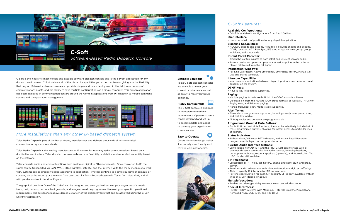

C-Soft is the industry's most flexible and capable software dispatch console and is the perfect application for any dispatch environment. C-Soft delivers all of the dispatch capabilities you expect while also giving you the flexibility that only an IP-based software console can provide: simple and quick deployment in the field, easy back-up of communications assets, and the ability to save multiple configurations on a single computer. This proven application has been deployed in communication centers around the world in applications from 911 dispatch to mobile command centers and transportation management.



# *C-Soft Features:*

**Available Configurations:**

• C-Soft is available in configurations from 2 to 200 lines.

**User Interface:**

• User-controlled configurations for any dispatch application.

**Signaling Capabilities:** • MDC1200 encode and decode, NexEdge, FleetSync encode and decode, DTMF, serial and OTA FleetSync, 5/6 tone - supports emergency, group, individual, and status calls.

## **Instant Recall Recorder:**

• Tracks the last ten minutes of both select and unselect speaker audio. • Buttons can be set up to start playback at various points in the buffer or played call-by-call from the call buffer.

**Information Windows:**

• Per-Line Call History, Active Emergency, Emergency History, Manual Call List, and Status Windows. **Intercom Capabilities:**

• Intercom communications between dispatch positions can be set up on all consoles on the system.

**DTMF Keys:**

• A full 16-key keyboard is supported.

**Paging:**

- 
- 

• Multiple paging formats are built into the C-Soft console software.

• Quickcall II in both the 100 and 1000 group formats, as well as DTMF, Knox Paging tone, and 5/6 tone paging.

• Manual frequency entry mode is also supported.

## **Alert Tones:**

• Three alert-tone types are supported, including steady tone, pulsed tone,

and high-low warble.

• All frequencies and durations are programmable.

## **Programmed Group & Mute Buttons:**

• For both Group and Mute functions, lines can be selectively included within these programmed buttons, allowing for instant access to particular lines

of interest.

## **Status Indicators:**

• 24-hour clock, VU Meter, PTT Indication, and Instant Recall Recorder progress are displayed on the upper status bar.

### **Flexible Audio Interface Options:**

• Using Telex's new ADHB-4 and the RHB, C-Soft can interface with all common dispatch communication audio sources, including headsets, desktop microphones, external speakers (up to six), and footswitches. The HB-3+ is also still available.

## **SIP Telephony:**

• Crosspatch, DTMF hold, call history, phone directory, stun, and proxy

• Provides audio adjustment with silence detection and jitter buffering. • Able to specify IP interface for SIP connections.

- server.
- 
- 
- lines of C-Soft dongle or above.

• Per-line configuration for each SIP account. SIP is only available with 24

# **Multiple Vocoders:**

• Per-line vocoder-type ability to select lower bandwidth vocoder.

**Special Interfaces:** • MOTOTRBO™ Systems with Mapping, Motorola Smartnet/Smartzone, Kenwood NEXEDGE, iDen, and P25 DFSI.

## *More installations than any other IP-based dispatch system.*

Telex Radio Dispatch, part of the Bosch Group, manufactures and delivers thousands of mission-critical communication systems worldwide.

Telex Radio Dispatch is the leading manufacturer of IP control for two-way radio communications. Based on a distributive architecture, Telex dispatch console systems have flexibility, scalability, and redundant capability based on the network.

Telex converts audio and control functions from analog or digital to Ethernet packets. Once converted to IP, the signal can be transported via LAN, WAN, 802.11 wireless, satellite, and the Internet. With this many mediums to work with, systems can be precisely scaled according to application—whether confined to a single building or campus, or covering an entire country or the world. You can control a Telex IP-based system in Texas from New York, and all with parallel control in London, England.

The graphical user interface of the C-Soft can be designed and arranged to best suit your organization's needs. Icons, text, buttons, borders, backgrounds, and images can all be programmed to meet your specific operational requirements. The screenshots above depict just a few of the design layouts that can be achieved using the C-Soft Designer application.

## **Scalable Solutions**

Telex C-Soft dispatch consoles are scalable to meet your current requirements, as well as grow to meet your future demands.

## **Highly Configurable**

The C-Soft console is designed to meet your operational requirements. Operator screens can be designed and set up to accommodate and adapt to the way your organization communicates.

# **Easy to Operate**

C-Soft's intuitive design makes it extremely user friendly and easy to learn and operate.

**SO** 





*Software-Based Radio Dispatch Console*